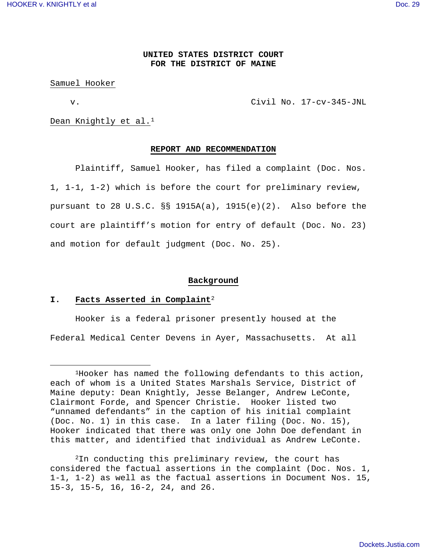l

# **UNITED STATES DISTRICT COURT FOR THE DISTRICT OF MAINE**

#### Samuel Hooker

v. Civil No. 17-cv-345-JNL

Dean Knightly et al.<sup>1</sup>

# **REPORT AND RECOMMENDATION**

Plaintiff, Samuel Hooker, has filed a complaint (Doc. Nos. 1, 1-1, 1-2) which is before the court for preliminary review, pursuant to 28 U.S.C. §§ 1915A(a), 1915(e)(2). Also before the court are plaintiff's motion for entry of default (Doc. No. 23) and motion for default judgment (Doc. No. 25).

## **Background**

# **I. Facts Asserted in Complaint**<sup>2</sup>

Hooker is a federal prisoner presently housed at the Federal Medical Center Devens in Ayer, Massachusetts. At all

<sup>1</sup>Hooker has named the following defendants to this action, each of whom is a United States Marshals Service, District of Maine deputy: Dean Knightly, Jesse Belanger, Andrew LeConte, Clairmont Forde, and Spencer Christie. Hooker listed two "unnamed defendants" in the caption of his initial complaint (Doc. No. 1) in this case. In a later filing (Doc. No. 15), Hooker indicated that there was only one John Doe defendant in this matter, and identified that individual as Andrew LeConte.

<sup>2</sup>In conducting this preliminary review, the court has considered the factual assertions in the complaint (Doc. Nos. 1, 1-1, 1-2) as well as the factual assertions in Document Nos. 15, 15-3, 15-5, 16, 16-2, 24, and 26.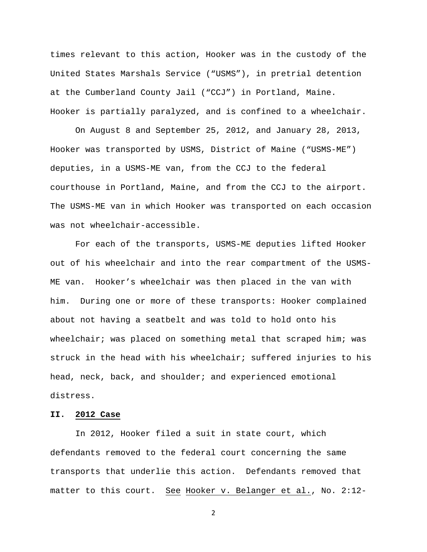times relevant to this action, Hooker was in the custody of the United States Marshals Service ("USMS"), in pretrial detention at the Cumberland County Jail ("CCJ") in Portland, Maine. Hooker is partially paralyzed, and is confined to a wheelchair.

On August 8 and September 25, 2012, and January 28, 2013, Hooker was transported by USMS, District of Maine ("USMS-ME") deputies, in a USMS-ME van, from the CCJ to the federal courthouse in Portland, Maine, and from the CCJ to the airport. The USMS-ME van in which Hooker was transported on each occasion was not wheelchair-accessible.

For each of the transports, USMS-ME deputies lifted Hooker out of his wheelchair and into the rear compartment of the USMS-ME van. Hooker's wheelchair was then placed in the van with him. During one or more of these transports: Hooker complained about not having a seatbelt and was told to hold onto his wheelchair; was placed on something metal that scraped him; was struck in the head with his wheelchair; suffered injuries to his head, neck, back, and shoulder; and experienced emotional distress.

# **II. 2012 Case**

 In 2012, Hooker filed a suit in state court, which defendants removed to the federal court concerning the same transports that underlie this action. Defendants removed that matter to this court. See Hooker v. Belanger et al., No. 2:12-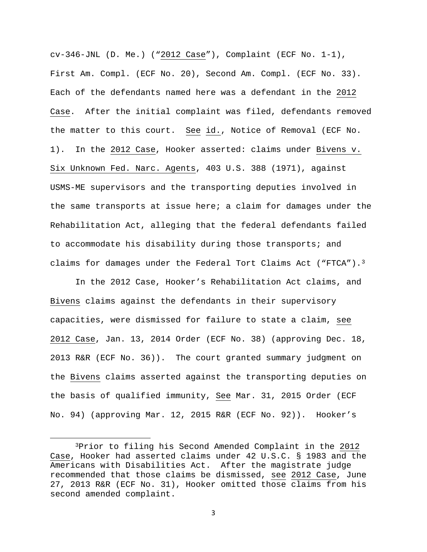cv-346-JNL (D. Me.) ("2012 Case"), Complaint (ECF No. 1-1), First Am. Compl. (ECF No. 20), Second Am. Compl. (ECF No. 33). Each of the defendants named here was a defendant in the 2012 Case. After the initial complaint was filed, defendants removed the matter to this court. See id., Notice of Removal (ECF No. 1). In the 2012 Case, Hooker asserted: claims under Bivens v. Six Unknown Fed. Narc. Agents, 403 U.S. 388 (1971), against USMS-ME supervisors and the transporting deputies involved in the same transports at issue here; a claim for damages under the Rehabilitation Act, alleging that the federal defendants failed to accommodate his disability during those transports; and claims for damages under the Federal Tort Claims Act ("FTCA").<sup>3</sup>

 In the 2012 Case, Hooker's Rehabilitation Act claims, and Bivens claims against the defendants in their supervisory capacities, were dismissed for failure to state a claim, see 2012 Case, Jan. 13, 2014 Order (ECF No. 38) (approving Dec. 18, 2013 R&R (ECF No. 36)). The court granted summary judgment on the Bivens claims asserted against the transporting deputies on the basis of qualified immunity, See Mar. 31, 2015 Order (ECF No. 94) (approving Mar. 12, 2015 R&R (ECF No. 92)). Hooker's

 $\overline{a}$ 

<sup>3</sup>Prior to filing his Second Amended Complaint in the 2012 Case, Hooker had asserted claims under 42 U.S.C. § 1983 and the Americans with Disabilities Act. After the magistrate judge recommended that those claims be dismissed, see 2012 Case, June 27, 2013 R&R (ECF No. 31), Hooker omitted those claims from his second amended complaint.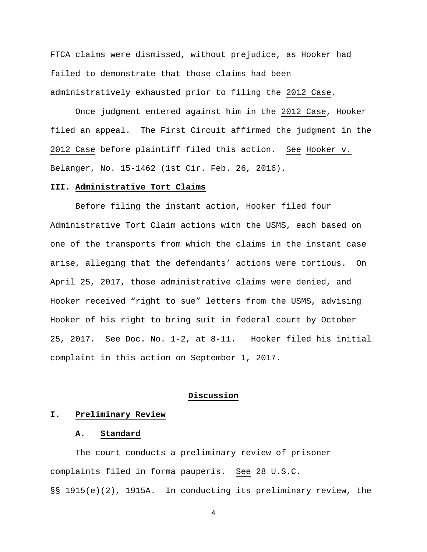FTCA claims were dismissed, without prejudice, as Hooker had failed to demonstrate that those claims had been administratively exhausted prior to filing the 2012 Case.

 Once judgment entered against him in the 2012 Case, Hooker filed an appeal. The First Circuit affirmed the judgment in the 2012 Case before plaintiff filed this action. See Hooker v. Belanger, No. 15-1462 (1st Cir. Feb. 26, 2016).

## **III. Administrative Tort Claims**

 Before filing the instant action, Hooker filed four Administrative Tort Claim actions with the USMS, each based on one of the transports from which the claims in the instant case arise, alleging that the defendants' actions were tortious. On April 25, 2017, those administrative claims were denied, and Hooker received "right to sue" letters from the USMS, advising Hooker of his right to bring suit in federal court by October 25, 2017. See Doc. No. 1-2, at 8-11. Hooker filed his initial complaint in this action on September 1, 2017.

### **Discussion**

### **I. Preliminary Review**

# **A. Standard**

 The court conducts a preliminary review of prisoner complaints filed in forma pauperis. See 28 U.S.C. §§ 1915(e)(2), 1915A. In conducting its preliminary review, the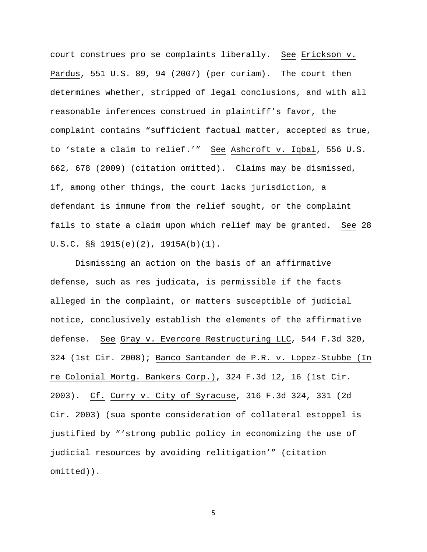court construes pro se complaints liberally. See Erickson v. Pardus, 551 U.S. 89, 94 (2007) (per curiam). The court then determines whether, stripped of legal conclusions, and with all reasonable inferences construed in plaintiff's favor, the complaint contains "sufficient factual matter, accepted as true, to 'state a claim to relief.'" See Ashcroft v. Iqbal, 556 U.S. 662, 678 (2009) (citation omitted). Claims may be dismissed, if, among other things, the court lacks jurisdiction, a defendant is immune from the relief sought, or the complaint fails to state a claim upon which relief may be granted. See 28 U.S.C. §§ 1915(e)(2), 1915A(b)(1).

Dismissing an action on the basis of an affirmative defense, such as res judicata, is permissible if the facts alleged in the complaint, or matters susceptible of judicial notice, conclusively establish the elements of the affirmative defense. See Gray v. Evercore Restructuring LLC, 544 F.3d 320, 324 (1st Cir. 2008); Banco Santander de P.R. v. Lopez-Stubbe (In re Colonial Mortg. Bankers Corp.), 324 F.3d 12, 16 (1st Cir. 2003). Cf. Curry v. City of Syracuse, 316 F.3d 324, 331 (2d Cir. 2003) (sua sponte consideration of collateral estoppel is justified by "'strong public policy in economizing the use of judicial resources by avoiding relitigation'" (citation omitted)).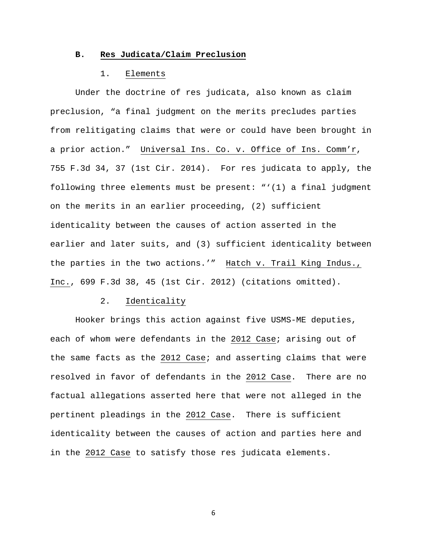# **B. Res Judicata/Claim Preclusion**

## 1. Elements

Under the doctrine of res judicata, also known as claim preclusion, "a final judgment on the merits precludes parties from relitigating claims that were or could have been brought in a prior action." Universal Ins. Co. v. Office of Ins. Comm'r, 755 F.3d 34, 37 (1st Cir. 2014). For res judicata to apply, the following three elements must be present: "'(1) a final judgment on the merits in an earlier proceeding, (2) sufficient identicality between the causes of action asserted in the earlier and later suits, and (3) sufficient identicality between the parties in the two actions.'" Hatch v. Trail King Indus., Inc., 699 F.3d 38, 45 (1st Cir. 2012) (citations omitted).

## 2. Identicality

 Hooker brings this action against five USMS-ME deputies, each of whom were defendants in the 2012 Case; arising out of the same facts as the 2012 Case; and asserting claims that were resolved in favor of defendants in the 2012 Case. There are no factual allegations asserted here that were not alleged in the pertinent pleadings in the 2012 Case. There is sufficient identicality between the causes of action and parties here and in the 2012 Case to satisfy those res judicata elements.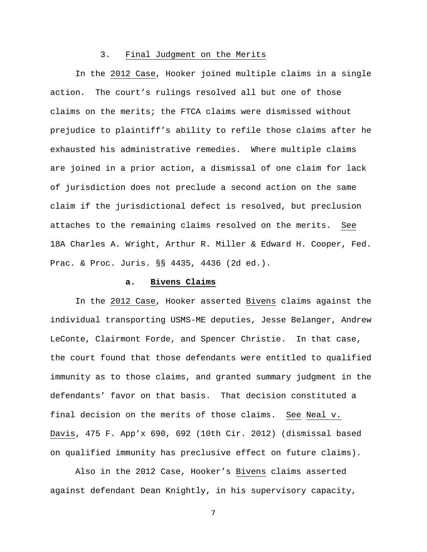### 3. Final Judgment on the Merits

In the 2012 Case, Hooker joined multiple claims in a single action. The court's rulings resolved all but one of those claims on the merits; the FTCA claims were dismissed without prejudice to plaintiff's ability to refile those claims after he exhausted his administrative remedies. Where multiple claims are joined in a prior action, a dismissal of one claim for lack of jurisdiction does not preclude a second action on the same claim if the jurisdictional defect is resolved, but preclusion attaches to the remaining claims resolved on the merits. See 18A Charles A. Wright, Arthur R. Miller & Edward H. Cooper, Fed. Prac. & Proc. Juris. §§ 4435, 4436 (2d ed.).

### **a. Bivens Claims**

 In the 2012 Case, Hooker asserted Bivens claims against the individual transporting USMS-ME deputies, Jesse Belanger, Andrew LeConte, Clairmont Forde, and Spencer Christie. In that case, the court found that those defendants were entitled to qualified immunity as to those claims, and granted summary judgment in the defendants' favor on that basis. That decision constituted a final decision on the merits of those claims. See Neal v. Davis, 475 F. App'x 690, 692 (10th Cir. 2012) (dismissal based on qualified immunity has preclusive effect on future claims).

 Also in the 2012 Case, Hooker's Bivens claims asserted against defendant Dean Knightly, in his supervisory capacity,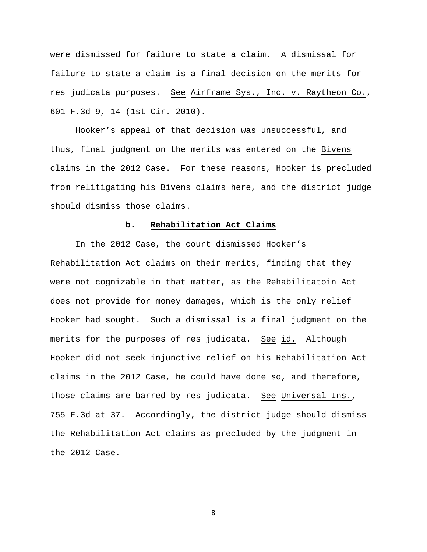were dismissed for failure to state a claim. A dismissal for failure to state a claim is a final decision on the merits for res judicata purposes. See Airframe Sys., Inc. v. Raytheon Co., 601 F.3d 9, 14 (1st Cir. 2010).

 Hooker's appeal of that decision was unsuccessful, and thus, final judgment on the merits was entered on the Bivens claims in the 2012 Case. For these reasons, Hooker is precluded from relitigating his Bivens claims here, and the district judge should dismiss those claims.

## **b. Rehabilitation Act Claims**

In the 2012 Case, the court dismissed Hooker's Rehabilitation Act claims on their merits, finding that they were not cognizable in that matter, as the Rehabilitatoin Act does not provide for money damages, which is the only relief Hooker had sought. Such a dismissal is a final judgment on the merits for the purposes of res judicata. See id. Although Hooker did not seek injunctive relief on his Rehabilitation Act claims in the 2012 Case, he could have done so, and therefore, those claims are barred by res judicata. See Universal Ins., 755 F.3d at 37. Accordingly, the district judge should dismiss the Rehabilitation Act claims as precluded by the judgment in the 2012 Case.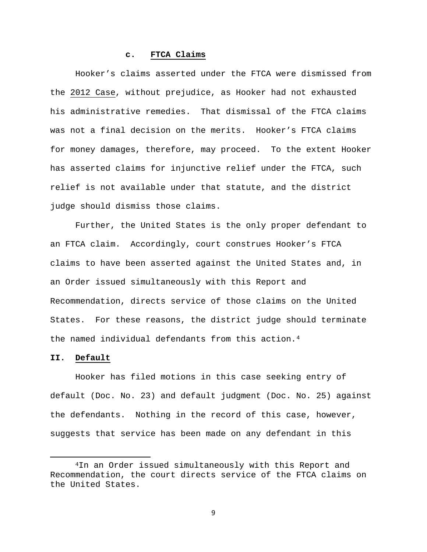## **c. FTCA Claims**

 Hooker's claims asserted under the FTCA were dismissed from the 2012 Case, without prejudice, as Hooker had not exhausted his administrative remedies. That dismissal of the FTCA claims was not a final decision on the merits. Hooker's FTCA claims for money damages, therefore, may proceed. To the extent Hooker has asserted claims for injunctive relief under the FTCA, such relief is not available under that statute, and the district judge should dismiss those claims.

 Further, the United States is the only proper defendant to an FTCA claim. Accordingly, court construes Hooker's FTCA claims to have been asserted against the United States and, in an Order issued simultaneously with this Report and Recommendation, directs service of those claims on the United States. For these reasons, the district judge should terminate the named individual defendants from this action.<sup>4</sup>

# **II. Default**

 $\overline{a}$ 

 Hooker has filed motions in this case seeking entry of default (Doc. No. 23) and default judgment (Doc. No. 25) against the defendants. Nothing in the record of this case, however, suggests that service has been made on any defendant in this

<sup>4</sup>In an Order issued simultaneously with this Report and Recommendation, the court directs service of the FTCA claims on the United States.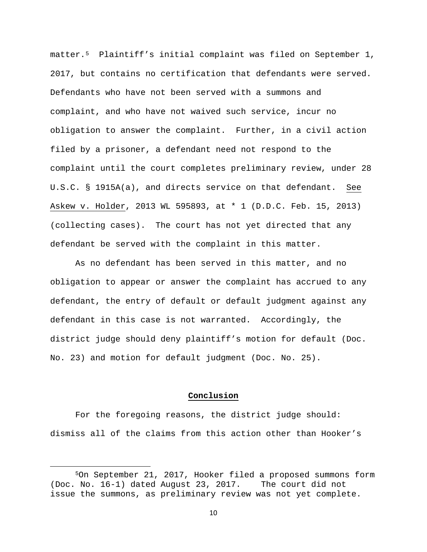matter.5 Plaintiff's initial complaint was filed on September 1, 2017, but contains no certification that defendants were served. Defendants who have not been served with a summons and complaint, and who have not waived such service, incur no obligation to answer the complaint. Further, in a civil action filed by a prisoner, a defendant need not respond to the complaint until the court completes preliminary review, under 28 U.S.C. § 1915A(a), and directs service on that defendant. See Askew v. Holder, 2013 WL 595893, at \* 1 (D.D.C. Feb. 15, 2013) (collecting cases). The court has not yet directed that any defendant be served with the complaint in this matter.

 As no defendant has been served in this matter, and no obligation to appear or answer the complaint has accrued to any defendant, the entry of default or default judgment against any defendant in this case is not warranted. Accordingly, the district judge should deny plaintiff's motion for default (Doc. No. 23) and motion for default judgment (Doc. No. 25).

### **Conclusion**

 For the foregoing reasons, the district judge should: dismiss all of the claims from this action other than Hooker's

 $\overline{a}$ 

<sup>5</sup>On September 21, 2017, Hooker filed a proposed summons form (Doc. No. 16-1) dated August 23, 2017. The court did not issue the summons, as preliminary review was not yet complete.